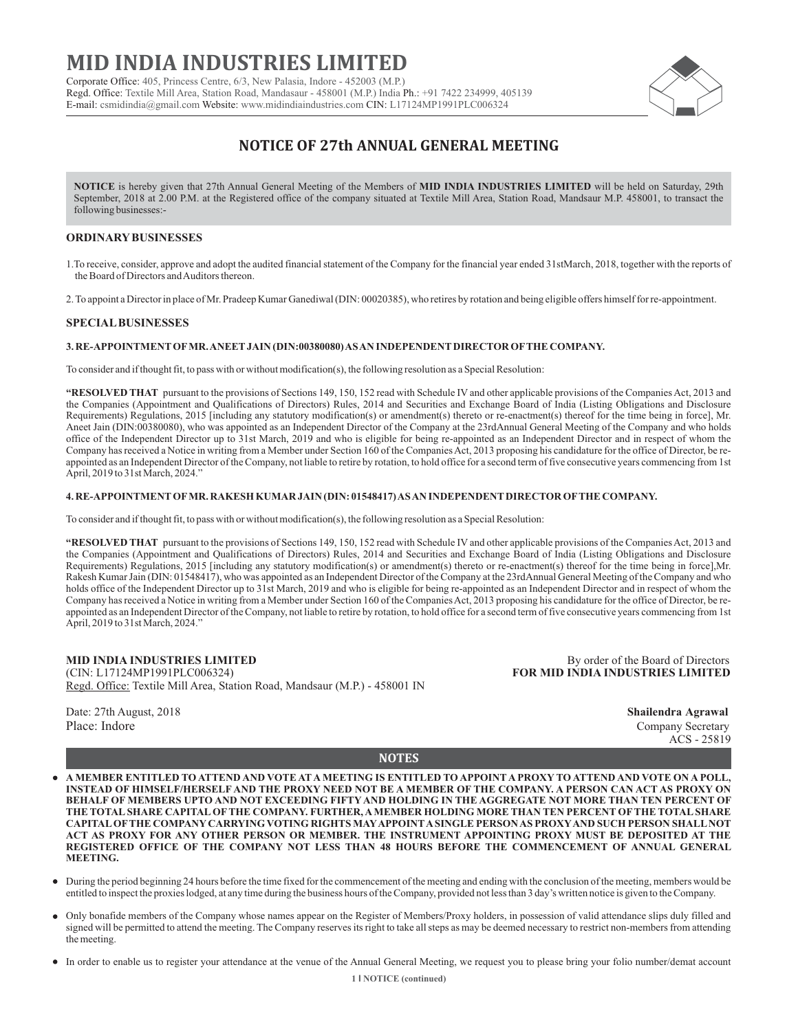# **MID INDIA INDUSTRIES LIMITED**

Corporate Office: 405, Princess Centre, 6/3, New Palasia, Indore - 452003 (M.P.) Regd. Office: Textile Mill Area, Station Road, Mandasaur - 458001 (M.P.) India Ph.: +91 7422 234999, 405139 E-mail: csmidindia@gmail.com Website: www.midindiaindustries.com CIN: L17124MP1991PLC006324



## **NOTICE OF 27th ANNUAL GENERAL MEETING**

**NOTICE** is hereby given that 27th Annual General Meeting of the Members of **MID INDIA INDUSTRIES LIMITED** will be held on Saturday, 29th September, 2018 at 2.00 P.M. at the Registered office of the company situated at Textile Mill Area, Station Road, Mandsaur M.P. 458001, to transact the following businesses:-

### **ORDINARYBUSINESSES**

1.To receive, consider, approve and adopt the audited financial statement of the Company for the financial year ended 31stMarch, 2018, together with the reports of the Board of Directors and Auditors thereon.

2. To appoint a Director in place of Mr. Pradeep Kumar Ganediwal (DIN: 00020385), who retires by rotation and being eligible offers himself for re-appointment.

#### **SPECIALBUSINESSES**

#### **3. RE-APPOINTMENTOFMR. ANEETJAIN (DIN:00380080) AS AN INDEPENDENTDIRECTOR OFTHE COMPANY.**

To consider and if thought fit, to pass with or without modification(s), the following resolution as a Special Resolution:

**"RESOLVED THAT** pursuant to the provisions of Sections 149, 150, 152 read with Schedule IV and other applicable provisions of the Companies Act, 2013 and the Companies (Appointment and Qualifications of Directors) Rules, 2014 and Securities and Exchange Board of India (Listing Obligations and Disclosure Requirements) Regulations, 2015 [including any statutory modification(s) or amendment(s) thereto or re-enactment(s) thereof for the time being in force], Mr. Aneet Jain (DIN:00380080), who was appointed as an Independent Director of the Company at the 23rdAnnual General Meeting of the Company and who holds office of the Independent Director up to 31st March, 2019 and who is eligible for being re-appointed as an Independent Director and in respect of whom the Company has received a Notice in writing from a Member under Section 160 of the Companies Act, 2013 proposing his candidature for the office of Director, be reappointed as an Independent Director of the Company, not liable to retire by rotation, to hold office for a second term of five consecutive years commencing from 1st April, 2019 to 31st March, 2024.'

#### **4. RE-APPOINTMENTOFMR. RAKESH KUMAR JAIN (DIN: 01548417) AS AN INDEPENDENTDIRECTOR OFTHE COMPANY.**

To consider and if thought fit, to pass with or without modification(s), the following resolution as a Special Resolution:

**"RESOLVED THAT** pursuant to the provisions of Sections 149, 150, 152 read with Schedule IV and other applicable provisions of the Companies Act, 2013 and the Companies (Appointment and Qualifications of Directors) Rules, 2014 and Securities and Exchange Board of India (Listing Obligations and Disclosure Requirements) Regulations, 2015 [including any statutory modification(s) or amendment(s) thereto or re-enactment(s) thereof for the time being in force],Mr. Rakesh Kumar Jain (DIN: 01548417), who was appointed as an Independent Director of the Company at the 23rdAnnual General Meeting of the Company and who holds office of the Independent Director up to 31st March, 2019 and who is eligible for being re-appointed as an Independent Director and in respect of whom the Company has received a Notice in writing from a Member under Section 160 of the Companies Act, 2013 proposing his candidature for the office of Director, be reappointed as an Independent Director of the Company, not liable to retire by rotation, to hold office for a second term of five consecutive years commencing from 1st April, 2019 to 31st March, 2024."

**MID INDIA INDUSTRIES LIMITED** By order of the Board of Directors<br>
(CIN: L17124MP1991PLC006324) **BOR MID INDIA INDUSTRIES LIMITED** Regd. Office: Textile Mill Area, Station Road, Mandsaur (M.P.) - 458001 IN

Date: 27th August, 2018 **Shailendra Agrawal** Place: Indore Company Secretary Company Secretary

**FOR MID INDIA INDUSTRIES LIMITED** 

ACS - 25819

**NOTES**

- **A MEMBER ENTITLED TO ATTEND AND VOTE AT A MEETING IS ENTITLED TO APPOINT A PROXY TO ATTEND AND VOTE ON A POLL,**   $\bullet$ **INSTEAD OF HIMSELF/HERSELF AND THE PROXY NEED NOT BE A MEMBER OF THE COMPANY. A PERSON CAN ACT AS PROXY ON BEHALF OF MEMBERS UPTO AND NOT EXCEEDING FIFTY AND HOLDING IN THE AGGREGATE NOT MORE THAN TEN PERCENT OF THE TOTALSHARE CAPITALOFTHE COMPANY. FURTHER, AMEMBER HOLDING MORE THAN TEN PERCENT OFTHE TOTALSHARE CAPITALOFTHE COMPANYCARRYING VOTING RIGHTS MAYAPPOINTASINGLE PERSON AS PROXYAND SUCH PERSON SHALLNOT ACT AS PROXY FOR ANY OTHER PERSON OR MEMBER. THE INSTRUMENT APPOINTING PROXY MUST BE DEPOSITED AT THE REGISTERED OFFICE OF THE COMPANY NOT LESS THAN 48 HOURS BEFORE THE COMMENCEMENT OF ANNUAL GENERAL MEETING.**
- During the period beginning 24 hours before the time fixed for the commencement of the meeting and ending with the conclusion of the meeting, members would be entitled to inspect the proxies lodged, at any time during the business hours of the Company, provided not less than 3 day's written notice is given to the Company.
- Only bonafide members of the Company whose names appear on the Register of Members/Proxy holders, in possession of valid attendance slips duly filled and signed will be permitted to attend the meeting. The Company reserves its right to take all steps as may be deemed necessary to restrict non-members from attending the meeting.
- In order to enable us to register your attendance at the venue of the Annual General Meeting, we request you to please bring your folio number/demat account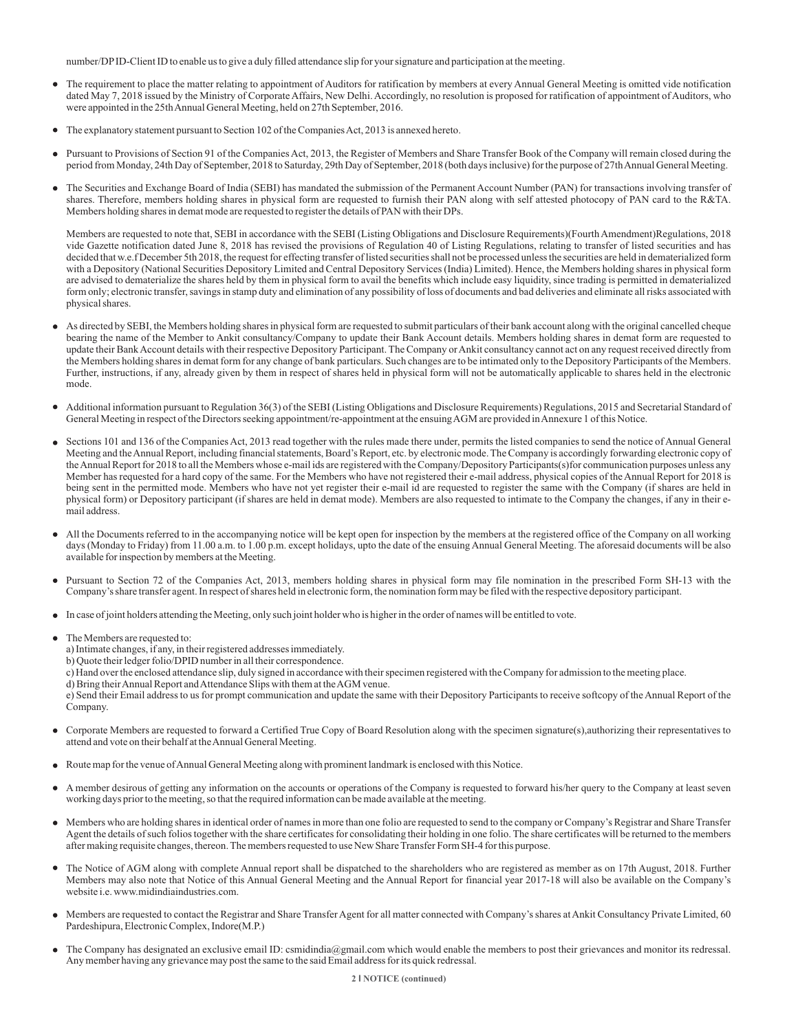number/DPID-Client ID to enable us to give a duly filled attendance slip for your signature and participation at the meeting.

- The requirement to place the matter relating to appointment of Auditors for ratification by members at every Annual General Meeting is omitted vide notification dated May 7, 2018 issued by the Ministry of Corporate Affairs, New Delhi. Accordingly, no resolution is proposed for ratification of appointment of Auditors, who were appointed in the 25th Annual General Meeting, held on 27th September, 2016.
- The explanatory statement pursuant to Section 102 of the Companies Act, 2013 is annexed hereto.
- Pursuant to Provisions of Section 91 of the Companies Act, 2013, the Register of Members and Share Transfer Book of the Company will remain closed during the period from Monday, 24th Day of September, 2018 to Saturday, 29th Day of September, 2018 (both days inclusive) for the purpose of 27th Annual General Meeting.
- The Securities and Exchange Board of India (SEBI) has mandated the submission of the Permanent Account Number (PAN) for transactions involving transfer of shares. Therefore, members holding shares in physical form are requested to furnish their PAN along with self attested photocopy of PAN card to the R&TA. Members holding shares in demat mode are requested to register the details of PAN with their DPs.

Members are requested to note that, SEBI in accordance with the SEBI (Listing Obligations and Disclosure Requirements)(Fourth Amendment)Regulations, 2018 vide Gazette notification dated June 8, 2018 has revised the provisions of Regulation 40 of Listing Regulations, relating to transfer of listed securities and has decided that w.e.f December 5th 2018, the request for effecting transfer of listed securities shall not be processed unless the securities are held in dematerialized form with a Depository (National Securities Depository Limited and Central Depository Services (India) Limited). Hence, the Members holding shares in physical form are advised to dematerialize the shares held by them in physical form to avail the benefits which include easy liquidity, since trading is permitted in dematerialized form only; electronic transfer, savings in stamp duty and elimination of any possibility of loss of documents and bad deliveries and eliminate all risks associated with physical shares.

- As directed by SEBI, the Members holding shares in physical form are requested to submit particulars of their bank account along with the original cancelled cheque bearing the name of the Member to Ankit consultancy/Company to update their Bank Account details. Members holding shares in demat form are requested to update their Bank Account details with their respective Depository Participant. The Company or Ankit consultancy cannot act on any request received directly from the Members holding shares in demat form for any change of bank particulars. Such changes are to be intimated only to the Depository Participants of the Members. Further, instructions, if any, already given by them in respect of shares held in physical form will not be automatically applicable to shares held in the electronic mode.
- $\bullet$ Additional information pursuant to Regulation 36(3) of the SEBI (Listing Obligations and Disclosure Requirements) Regulations, 2015 and Secretarial Standard of General Meeting in respect of the Directors seeking appointment/re-appointment at the ensuing AGM are provided in Annexure 1 of this Notice.
- Sections 101 and 136 of the Companies Act, 2013 read together with the rules made there under, permits the listed companies to send the notice of Annual General Meeting and the Annual Report, including financial statements, Board's Report, etc. by electronic mode. The Company is accordingly forwarding electronic copy of the Annual Report for 2018 to all the Members whose e-mail ids are registered with the Company/Depository Participants(s)for communication purposes unless any Member has requested for a hard copy of the same. For the Members who have not registered their e-mail address, physical copies of the Annual Report for 2018 is being sent in the permitted mode. Members who have not yet register their e-mail id are requested to register the same with the Company (if shares are held in physical form) or Depository participant (if shares are held in demat mode). Members are also requested to intimate to the Company the changes, if any in their email address.
- All the Documents referred to in the accompanying notice will be kept open for inspection by the members at the registered office of the Company on all working  $\bullet$ days (Monday to Friday) from 11.00 a.m. to 1.00 p.m. except holidays, upto the date of the ensuing Annual General Meeting. The aforesaid documents will be also available for inspection by members at the Meeting.
- Pursuant to Section 72 of the Companies Act, 2013, members holding shares in physical form may file nomination in the prescribed Form SH-13 with the Company's share transfer agent. In respect of shares held in electronic form, the nomination form may be filed with the respective depository participant.
- In case of joint holders attending the Meeting, only such joint holder who is higher in the order of names will be entitled to vote.
- The Members are requested to:
	- a) Intimate changes, if any, in their registered addresses immediately.
	- b) Quote their ledger folio/DPID number in all their correspondence.
	- c) Hand over the enclosed attendance slip, duly signed in accordance with their specimen registered with the Company for admission to the meeting place.
	- d) Bring their Annual Report and Attendance Slips with them at the AGM venue.

e) Send their Email address to us for prompt communication and update the same with their Depository Participants to receive softcopy of the Annual Report of the Company.

- Corporate Members are requested to forward a Certified True Copy of Board Resolution along with the specimen signature(s),authorizing their representatives to attend and vote on their behalf at the Annual General Meeting.
- Route map for the venue of Annual General Meeting along with prominent landmark is enclosed with this Notice.
- A member desirous of getting any information on the accounts or operations of the Company is requested to forward his/her query to the Company at least seven working days prior to the meeting, so that the required information can be made available at the meeting.
- Members who are holding shares in identical order of names in more than one folio are requested to send to the company or Company's Registrar and Share Transfer Agent the details of such folios together with the share certificates for consolidating their holding in one folio. The share certificates will be returned to the members after making requisite changes, thereon. The members requested to use New Share Transfer Form SH-4 for this purpose.
- The Notice of AGM along with complete Annual report shall be dispatched to the shareholders who are registered as member as on 17th August, 2018. Further Members may also note that Notice of this Annual General Meeting and the Annual Report for financial year 2017-18 will also be available on the Company's website i.e. www.midindiaindustries.com.
- Members are requested to contact the Registrar and Share Transfer Agent for all matter connected with Company's shares at Ankit Consultancy Private Limited, 60 Pardeshipura, Electronic Complex, Indore(M.P.)
- The Company has designated an exclusive email ID: csmidindia@gmail.com which would enable the members to post their grievances and monitor its redressal. Any member having any grievance may post the same to the said Email address for its quick redressal.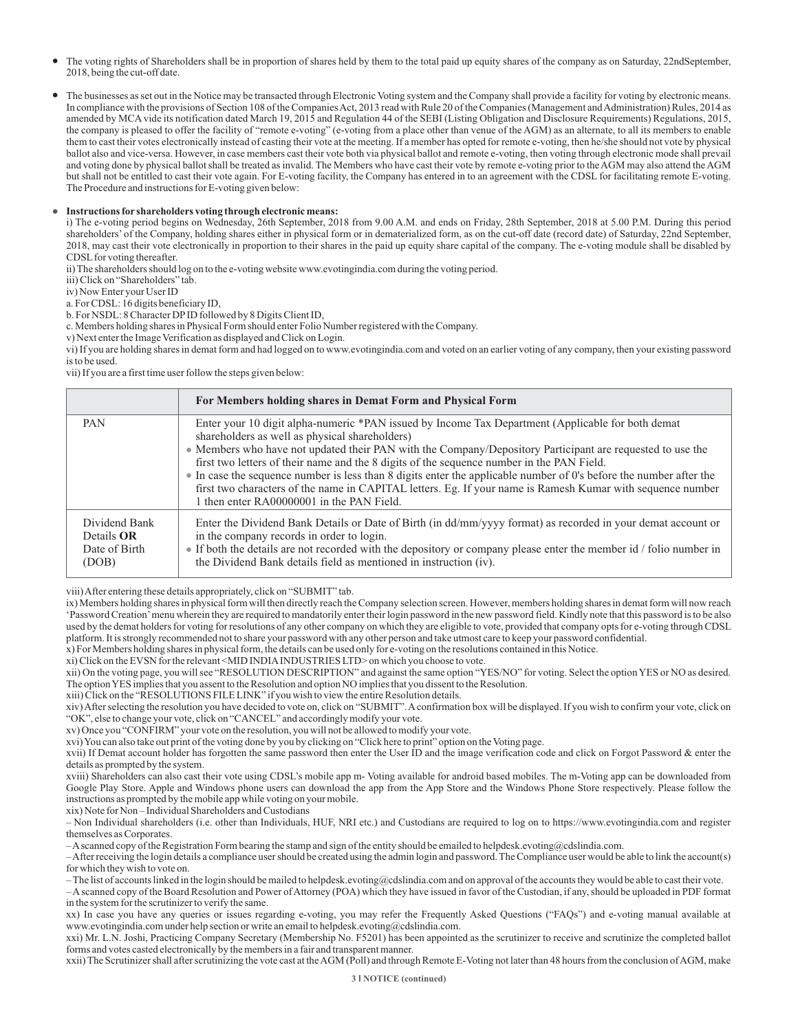- The voting rights of Shareholders shall be in proportion of shares held by them to the total paid up equity shares of the company as on Saturday, 22ndSeptember, 2018, being the cut-off date.
- The businesses as set out in the Notice may be transacted through Electronic Voting system and the Company shall provide a facility for voting by electronic means. In compliance with the provisions of Section 108 of the Companies Act, 2013 read with Rule 20 of the Companies (Management and Administration) Rules, 2014 as amended by MCAvide its notification dated March 19, 2015 and Regulation 44 of the SEBI (Listing Obligation and Disclosure Requirements) Regulations, 2015, the company is pleased to offer the facility of "remote e-voting" (e-voting from a place other than venue of the AGM) as an alternate, to all its members to enable them to cast their votes electronically instead of casting their vote at the meeting. If a member has opted for remote e-voting, then he/she should not vote by physical ballot also and vice-versa. However, in case members cast their vote both via physical ballot and remote e-voting, then voting through electronic mode shall prevail and voting done by physical ballot shall be treated as invalid. The Members who have cast their vote by remote e-voting prior to the AGM may also attend the AGM but shall not be entitled to cast their vote again. For E-voting facility, the Company has entered in to an agreement with the CDSL for facilitating remote E-voting. The Procedure and instructions for E-voting given below:

#### **Instructions for shareholders voting through electronic means:**

i) The e-voting period begins on Wednesday, 26th September, 2018 from 9.00 A.M. and ends on Friday, 28th September, 2018 at 5.00 P.M. During this period shareholders' of the Company, holding shares either in physical form or in dematerialized form, as on the cut-off date (record date) of Saturday, 22nd September, 2018, may cast their vote electronically in proportion to their shares in the paid up equity share capital of the company. The e-voting module shall be disabled by CDSL for voting thereafter.

ii) The shareholders should log on to the e-voting website www.evotingindia.com during the voting period.

iii) Click on "Shareholders" tab.

iv) Now Enter your User ID

a. For CDSL: 16 digits beneficiary ID,

b. For NSDL: 8 Character DPID followed by 8 Digits Client ID,

c. Members holding shares in Physical Form should enter Folio Number registered with the Company.

v) Next enter the Image Verification as displayed and Click on Login.

vi) If you are holding shares in demat form and had logged on to www.evotingindia.com and voted on an earlier voting of any company, then your existing password is to be used.

vii) If you are a first time user follow the steps given below:

|                                                              | For Members holding shares in Demat Form and Physical Form                                                                                                                                                                                                                                                                                                                                                                                                                                                                                                                                                                                     |
|--------------------------------------------------------------|------------------------------------------------------------------------------------------------------------------------------------------------------------------------------------------------------------------------------------------------------------------------------------------------------------------------------------------------------------------------------------------------------------------------------------------------------------------------------------------------------------------------------------------------------------------------------------------------------------------------------------------------|
| PAN                                                          | Enter your 10 digit alpha-numeric *PAN issued by Income Tax Department (Applicable for both demat<br>shareholders as well as physical shareholders)<br>• Members who have not updated their PAN with the Company/Depository Participant are requested to use the<br>first two letters of their name and the 8 digits of the sequence number in the PAN Field.<br>• In case the sequence number is less than 8 digits enter the applicable number of 0's before the number after the<br>first two characters of the name in CAPITAL letters. Eg. If your name is Ramesh Kumar with sequence number<br>1 then enter RA00000001 in the PAN Field. |
| Dividend Bank<br>Details <b>OR</b><br>Date of Birth<br>(DOB) | Enter the Dividend Bank Details or Date of Birth (in dd/mm/yyyy format) as recorded in your demat account or<br>in the company records in order to login.<br>• If both the details are not recorded with the depository or company please enter the member id / folio number in<br>the Dividend Bank details field as mentioned in instruction (iv).                                                                                                                                                                                                                                                                                           |

viii) After entering these details appropriately, click on "SUBMIT" tab.

ix) Members holding shares in physical form will then directly reach the Company selection screen. However, members holding shares in demat form will now reach 'Password Creation'menu wherein they are required to mandatorily enter their login password in the new password field. Kindly note that this password is to be also used by the demat holders for voting for resolutions of any other company on which they are eligible to vote, provided that company opts for e-voting through CDSL platform. It is strongly recommended not to share your password with any other person and take utmost care to keep your password confidential.

x) For Members holding shares in physical form, the details can be used only for e-voting on the resolutions contained in this Notice.

xi) Click on the EVSN for the relevant <MID INDIAINDUSTRIES LTD> on which you choose to vote.

xii) On the voting page, you will see "RESOLUTION DESCRIPTION" and against the same option "YES/NO" for voting. Select the option YES or NO as desired. The option YES implies that you assent to the Resolution and option NO implies that you dissent to the Resolution.

xiii) Click on the "RESOLUTIONS FILE LINK" if you wish to view the entire Resolution details.

xiv) After selecting the resolution you have decided to vote on, click on "SUBMIT". Aconfirmation box will be displayed. If you wish to confirm your vote, click on "OK", else to change your vote, click on "CANCEL" and accordingly modify your vote.

xv) Once you "CONFIRM" your vote on the resolution, you will not be allowed to modify your vote.

xvi) You can also take out print of the voting done by you by clicking on "Click here to print" option on the Voting page.

xvii) If Demat account holder has forgotten the same password then enter the User ID and the image verification code and click on Forgot Password & enter the details as prompted by the system.

xviii) Shareholders can also cast their vote using CDSL's mobile app m- Voting available for android based mobiles. The m-Voting app can be downloaded from Google Play Store. Apple and Windows phone users can download the app from the App Store and the Windows Phone Store respectively. Please follow the instructions as prompted by the mobile app while voting on your mobile.

xix) Note for Non – Individual Shareholders and Custodians

– Non Individual shareholders (i.e. other than Individuals, HUF, NRI etc.) and Custodians are required to log on to https://www.evotingindia.com and register themselves as Corporates.

– Ascanned copy of the Registration Form bearing the stamp and sign of the entity should be emailed to helpdesk.evoting@cdslindia.com.

– After receiving the login details a compliance user should be created using the admin login and password. The Compliance user would be able to link the account(s) for which they wish to vote on.

– The list of accounts linked in the login should be mailed to helpdesk.evoting@cdslindia.com and on approval of the accounts they would be able to cast their vote.

– Ascanned copy of the Board Resolution and Power of Attorney (POA) which they have issued in favor of the Custodian, if any, should be uploaded in PDF format in the system for the scrutinizer to verify the same.

xx) In case you have any queries or issues regarding e-voting, you may refer the Frequently Asked Questions ("FAQs") and e-voting manual available at www.evotingindia.com under help section or write an email to helpdesk.evoting@cdslindia.com.

xxi) Mr. L.N. Joshi, Practicing Company Secretary (Membership No. F5201) has been appointed as the scrutinizer to receive and scrutinize the completed ballot forms and votes casted electronically by the members in a fair and transparent manner.

xxii) The Scrutinizer shall after scrutinizing the vote cast at the AGM (Poll) and through Remote E-Voting not later than 48 hours from the conclusion of AGM, make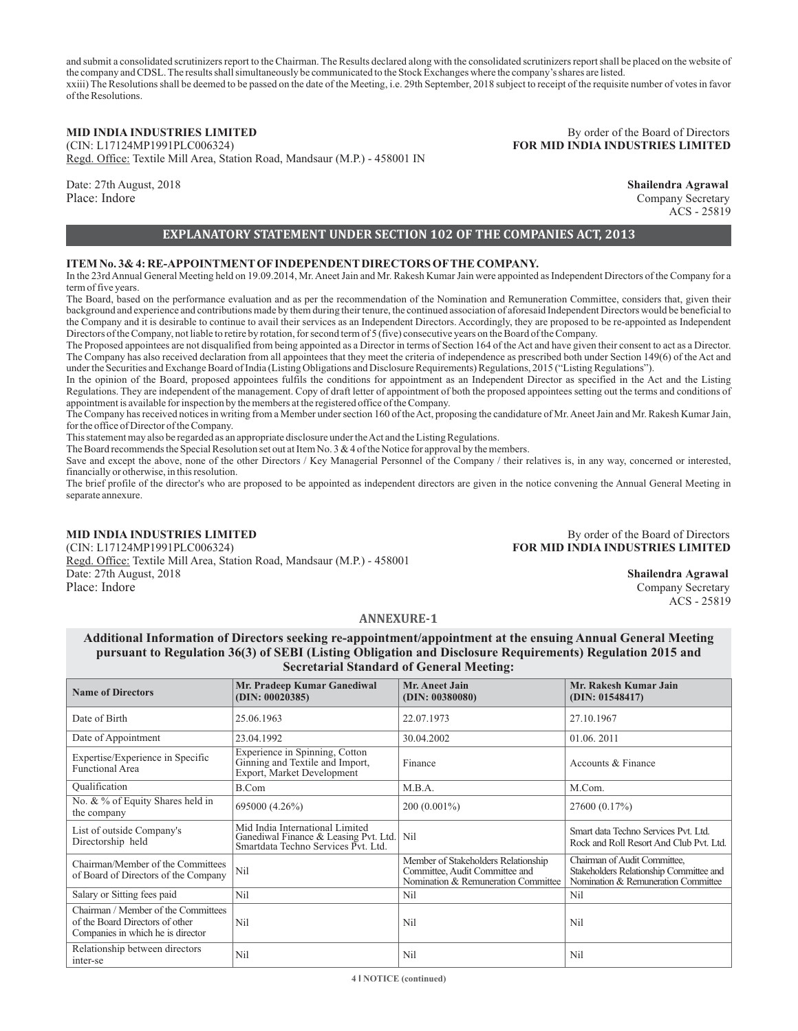and submit a consolidated scrutinizers report to the Chairman. The Results declared along with the consolidated scrutinizers report shall be placed on the website of the company and CDSL. The results shall simultaneously be communicated to the Stock Exchanges where the company's shares are listed. xxiii) The Resolutions shall be deemed to be passed on the date of the Meeting, i.e. 29th September, 2018 subject to receipt of the requisite number of votes in favor of the Resolutions.

Regd. Office: Textile Mill Area, Station Road, Mandsaur (M.P.) - 458001 IN

Date: 27th August, 2018 **Shailendra Agrawal** Place: Indore Company Secretary Company Secretary Company Secretary

**MID INDIA INDUSTRIES LIMITED** By order of the Board of Directors<br> **By order of the Board of Directors**<br> **By order of the Board of Directors**<br> **By order of the Board of Directors FOR MID INDIA INDUSTRIES LIMITED** 

ACS - 25819

### **EXPLANATORY STATEMENT UNDER SECTION 102 OF THE COMPANIES ACT, 2013**

#### **ITEM No. 3& 4: RE-APPOINTMENTOFINDEPENDENTDIRECTORS OFTHE COMPANY.**

In the 23rd Annual General Meeting held on 19.09.2014, Mr. Aneet Jain and Mr. Rakesh Kumar Jain were appointed as Independent Directors of the Company for a term of five years.

The Board, based on the performance evaluation and as per the recommendation of the Nomination and Remuneration Committee, considers that, given their background and experience and contributions made by them during their tenure, the continued association of aforesaid Independent Directors would be beneficial to the Company and it is desirable to continue to avail their services as an Independent Directors. Accordingly, they are proposed to be re-appointed as Independent Directors of the Company, not liable to retire by rotation, for second term of 5 (five) consecutive years on the Board of the Company.

The Proposed appointees are not disqualified from being appointed as a Director in terms of Section 164 of the Act and have given their consent to act as a Director. The Company has also received declaration from all appointees that they meet the criteria of independence as prescribed both under Section 149(6) of the Act and under the Securities and Exchange Board of India (Listing Obligations and Disclosure Requirements) Regulations, 2015 ("Listing Regulations").

In the opinion of the Board, proposed appointees fulfils the conditions for appointment as an Independent Director as specified in the Act and the Listing Regulations. They are independent of the management. Copy of draft letter of appointment of both the proposed appointees setting out the terms and conditions of appointment is available for inspection by the members at the registered office of the Company.

The Company has received notices in writing from a Member under section 160 of the Act, proposing the candidature of Mr. Aneet Jain and Mr. Rakesh Kumar Jain, for the office of Director of the Company.

This statement may also be regarded as an appropriate disclosure under the Act and the Listing Regulations.

The Board recommends the Special Resolution set out at Item No. 3 & 4 of the Notice for approval by the members.

Save and except the above, none of the other Directors / Key Managerial Personnel of the Company / their relatives is, in any way, concerned or interested, financially or otherwise, in this resolution.

The brief profile of the director's who are proposed to be appointed as independent directors are given in the notice convening the Annual General Meeting in separate annexure.

Regd. Office: Textile Mill Area, Station Road, Mandsaur (M.P.) - 458001 Date: 27th August, 2018 **Shailendra Agrawal** Place: Indore Company Secretary Company Secretary Company Secretary Company Secretary

**MID INDIA INDUSTRIES LIMITED** By order of the Board of Directors<br>
(CIN: L17124MP1991PLC006324) **By order of the Board of Directors FOR MID INDIA INDUSTRIES LIMITED** 

ACS - 25819

#### **ANNEXURE-1**

**Additional Information of Directors seeking re-appointment/appointment at the ensuing Annual General Meeting pursuant to Regulation 36(3) of SEBI (Listing Obligation and Disclosure Requirements) Regulation 2015 and Secretarial Standard of General Meeting:**

| <b>Name of Directors</b>                                                                                    | Mr. Pradeep Kumar Ganediwal<br>(DIN: 00020385)                                                                  | <b>Mr. Aneet Jain</b><br>(DIN: 00380080)                                                                     | Mr. Rakesh Kumar Jain<br>(DIN: 01548417)                                                                       |  |
|-------------------------------------------------------------------------------------------------------------|-----------------------------------------------------------------------------------------------------------------|--------------------------------------------------------------------------------------------------------------|----------------------------------------------------------------------------------------------------------------|--|
| Date of Birth                                                                                               | 25.06.1963                                                                                                      | 22.07.1973                                                                                                   | 27.10.1967                                                                                                     |  |
| Date of Appointment                                                                                         | 23.04.1992                                                                                                      | 30.04.2002                                                                                                   | 01.06.2011                                                                                                     |  |
| Expertise/Experience in Specific<br><b>Functional Area</b>                                                  | Experience in Spinning, Cotton<br>Ginning and Textile and Import,<br>Export, Market Development                 | Finance                                                                                                      | Accounts & Finance                                                                                             |  |
| Qualification                                                                                               | B.Com                                                                                                           | M.B.A.                                                                                                       | M.Com.                                                                                                         |  |
| No. & % of Equity Shares held in<br>the company                                                             | 695000 (4.26%)                                                                                                  | $200(0.001\%)$                                                                                               | 27600 (0.17%)                                                                                                  |  |
| List of outside Company's<br>Directorship held                                                              | Mid India International Limited<br>Ganediwal Finance & Leasing Pvt. Ltd.<br>Smartdata Techno Services Pvt. Ltd. | Nil                                                                                                          | Smart data Techno Services Pvt. Ltd.<br>Rock and Roll Resort And Club Pvt. Ltd.                                |  |
| Chairman/Member of the Committees<br>of Board of Directors of the Company                                   | Nil                                                                                                             | Member of Stakeholders Relationship<br>Committee, Audit Committee and<br>Nomination & Remuneration Committee | Chairman of Audit Committee,<br>Stakeholders Relationship Committee and<br>Nomination & Remuneration Committee |  |
| Salary or Sitting fees paid                                                                                 | Nil                                                                                                             | Nil                                                                                                          | Nil                                                                                                            |  |
| Chairman / Member of the Committees<br>of the Board Directors of other<br>Companies in which he is director | Nil                                                                                                             | Nil                                                                                                          | Nil                                                                                                            |  |
| Relationship between directors<br>inter-se                                                                  | Nil                                                                                                             | Nil                                                                                                          | Nil                                                                                                            |  |